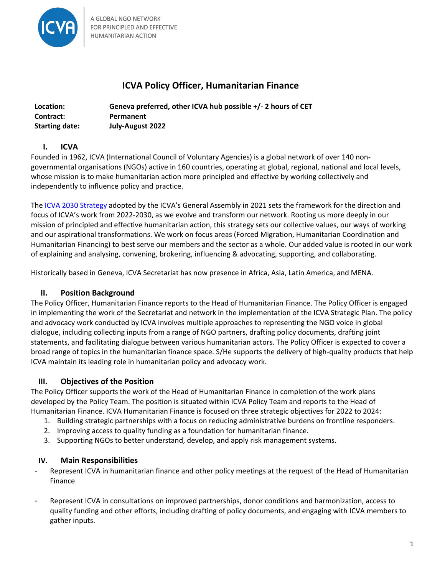

# **ICVA Policy Officer, Humanitarian Finance**

| Location:             | Geneva preferred, other ICVA hub possible +/- 2 hours of CET |
|-----------------------|--------------------------------------------------------------|
| Contract:             | Permanent                                                    |
| <b>Starting date:</b> | July-August 2022                                             |

# **I. ICVA**

Founded in 1962, ICVA (International Council of Voluntary Agencies) is a global network of over 140 nongovernmental organisations (NGOs) active in 160 countries, operating at global, regional, national and local levels, whose mission is to make humanitarian action more principled and effective by working collectively and independently to influence policy and practice.

The ICVA 2030 Strategy adopted by the ICVA's General Assembly in 2021 sets the framework for the direction and focus of ICVA's work from 2022-2030, as we evolve and transform our network. Rooting us more deeply in our mission of principled and effective humanitarian action, this strategy sets our collective values, our ways of working and our aspirational transformations. We work on focus areas (Forced Migration, Humanitarian Coordination and Humanitarian Financing) to best serve our members and the sector as a whole. Our added value is rooted in our work of explaining and analysing, convening, brokering, influencing & advocating, supporting, and collaborating.

Historically based in Geneva, ICVA Secretariat has now presence in Africa, Asia, Latin America, and MENA.

# **II.** Position Background

The Policy Officer, Humanitarian Finance reports to the Head of Humanitarian Finance. The Policy Officer is engaged in implementing the work of the Secretariat and network in the implementation of the ICVA Strategic Plan. The policy and advocacy work conducted by ICVA involves multiple approaches to representing the NGO voice in global dialogue, including collecting inputs from a range of NGO partners, drafting policy documents, drafting joint statements, and facilitating dialogue between various humanitarian actors. The Policy Officer is expected to cover a broad range of topics in the humanitarian finance space. S/He supports the delivery of high-quality products that help ICVA maintain its leading role in humanitarian policy and advocacy work.

## **III. Objectives of the Position**

The Policy Officer supports the work of the Head of Humanitarian Finance in completion of the work plans developed by the Policy Team. The position is situated within ICVA Policy Team and reports to the Head of Humanitarian Finance. ICVA Humanitarian Finance is focused on three strategic objectives for 2022 to 2024:

- 1. Building strategic partnerships with a focus on reducing administrative burdens on frontline responders.
- 2. Improving access to quality funding as a foundation for humanitarian finance.
- 3. Supporting NGOs to better understand, develop, and apply risk management systems.

## **IV. Main Responsibilities**

- Represent ICVA in humanitarian finance and other policy meetings at the request of the Head of Humanitarian Finance
- Represent ICVA in consultations on improved partnerships, donor conditions and harmonization, access to quality funding and other efforts, including drafting of policy documents, and engaging with ICVA members to gather inputs.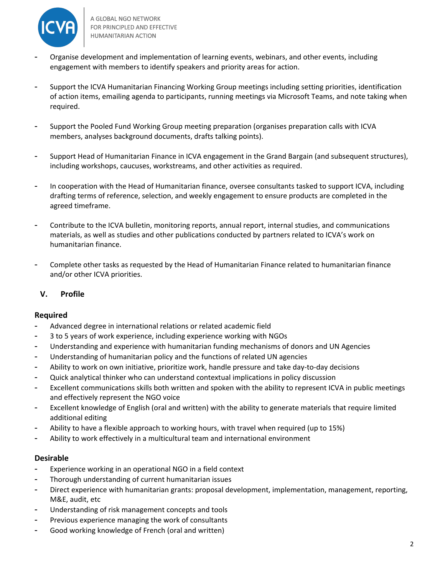

A GLOBAL NGO NETWORK FOR PRINCIPLED AND EFFECTIVE HUMANITARIAN ACTION

- Organise development and implementation of learning events, webinars, and other events, including engagement with members to identify speakers and priority areas for action.
- Support the ICVA Humanitarian Financing Working Group meetings including setting priorities, identification of action items, emailing agenda to participants, running meetings via Microsoft Teams, and note taking when required.
- Support the Pooled Fund Working Group meeting preparation (organises preparation calls with ICVA members, analyses background documents, drafts talking points).
- Support Head of Humanitarian Finance in ICVA engagement in the Grand Bargain (and subsequent structures), including workshops, caucuses, workstreams, and other activities as required.
- In cooperation with the Head of Humanitarian finance, oversee consultants tasked to support ICVA, including drafting terms of reference, selection, and weekly engagement to ensure products are completed in the agreed timeframe.
- Contribute to the ICVA bulletin, monitoring reports, annual report, internal studies, and communications materials, as well as studies and other publications conducted by partners related to ICVA's work on humanitarian finance.
- Complete other tasks as requested by the Head of Humanitarian Finance related to humanitarian finance and/or other ICVA priorities.

## **V. Profile**

## **Required**

- Advanced degree in international relations or related academic field
- 3 to 5 years of work experience, including experience working with NGOs
- Understanding and experience with humanitarian funding mechanisms of donors and UN Agencies
- Understanding of humanitarian policy and the functions of related UN agencies
- Ability to work on own initiative, prioritize work, handle pressure and take day-to-day decisions
- Quick analytical thinker who can understand contextual implications in policy discussion
- Excellent communications skills both written and spoken with the ability to represent ICVA in public meetings and effectively represent the NGO voice
- Excellent knowledge of English (oral and written) with the ability to generate materials that require limited additional editing
- Ability to have a flexible approach to working hours, with travel when required (up to 15%)
- Ability to work effectively in a multicultural team and international environment

#### **Desirable**

- Experience working in an operational NGO in a field context
- Thorough understanding of current humanitarian issues
- Direct experience with humanitarian grants: proposal development, implementation, management, reporting, M&E, audit, etc
- Understanding of risk management concepts and tools
- Previous experience managing the work of consultants
- Good working knowledge of French (oral and written)